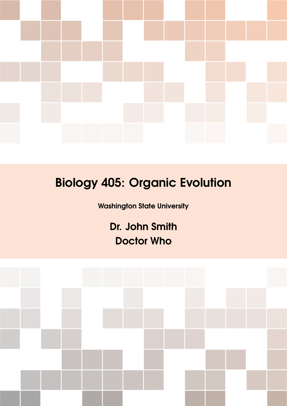

# Biology 405: Organic Evolution

Washington State University

Dr. John Smith Doctor Who

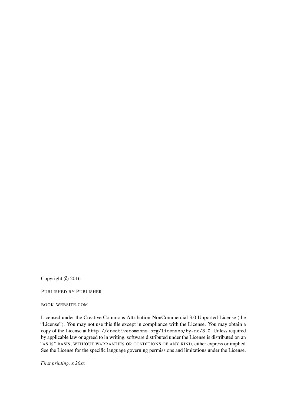Copyright  $\odot$  2016

PUBLISHED BY PUBLISHER

BOOK-WEBSITE.COM

Licensed under the Creative Commons Attribution-NonCommercial 3.0 Unported License (the "License"). You may not use this file except in compliance with the License. You may obtain a copy of the License at <http://creativecommons.org/licenses/by-nc/3.0>. Unless required by applicable law or agreed to in writing, software distributed under the License is distributed on an "AS IS" BASIS, WITHOUT WARRANTIES OR CONDITIONS OF ANY KIND, either express or implied. See the License for the specific language governing permissions and limitations under the License.

*First printing, x 20xx*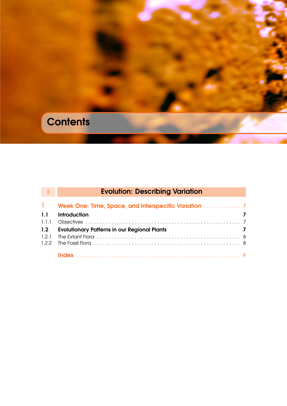# **Contents**

### **II [Evolution: Describing Variation](#page-4-0)**

| $1.1 -$ | <b>Introduction</b>                                                   |  |
|---------|-----------------------------------------------------------------------|--|
|         |                                                                       |  |
| 1.2     | <b>Evolutionary Patterns in our Regional Plants</b><br>$\overline{z}$ |  |
| 1.2.1   |                                                                       |  |
|         |                                                                       |  |
|         |                                                                       |  |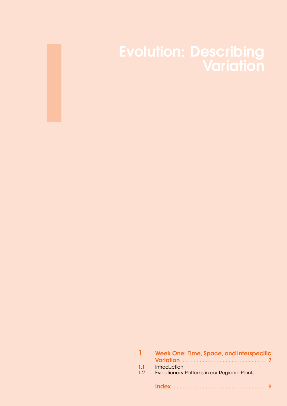# Evolution: Describing

<span id="page-4-0"></span>I

|            | <b>Week One: Time, Space, and Interspecific</b>                            |
|------------|----------------------------------------------------------------------------|
| 1.1<br>1.2 | <b>Introduction</b><br><b>Evolutionary Patterns in our Regional Plants</b> |
|            |                                                                            |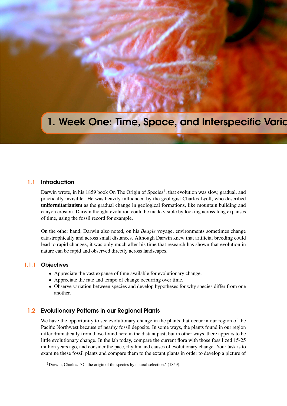## <span id="page-6-5"></span><span id="page-6-0"></span>1. Week One: Time, Space, and Interspecific Varia

#### 1.1 Introduction

<span id="page-6-1"></span>Darwin wrote, in his [1](#page-6-4)859 book On The Origin of Species<sup>1</sup>, that evolution was slow, gradual, and practically invisible. He was heavily influenced by the geologist Charles Lyell, who described uniformitarianism as the gradual change in geological formations, like mountain building and canyon erosion. Darwin thought evolution could be made visible by looking across long expanses of time, using the fossil record for example.

On the other hand, Darwin also noted, on his *Beagle* voyage, environments sometimes change catastrophically and across small distances. Although Darwin knew that artificial breeding could lead to rapid changes, it was only much after his time that research has shown that evolution in nature can be rapid and observed directly across landscapes.

#### 1.1.1 Objectives

- <span id="page-6-2"></span>• Appreciate the vast expanse of time available for evolutionary change.
- Appreciate the rate and tempo of change occurring over time.
- Observe variation between species and develop hypotheses for why species differ from one another.

#### 1.2 Evolutionary Patterns in our Regional Plants

<span id="page-6-3"></span>We have the opportunity to see evolutionary change in the plants that occur in our region of the Pacific Northwest because of nearby fossil deposits. In some ways, the plants found in our region differ dramatically from those found here in the distant past; but in other ways, there appears to be little evolutionary change. In the lab today, compare the current flora with those fossilized 15-25 million years ago, and consider the pace, rhythm and causes of evolutionary change. Your task is to examine these fossil plants and compare them to the extant plants in order to develop a picture of

<span id="page-6-4"></span><sup>&</sup>lt;sup>1</sup>Darwin, Charles. "On the origin of the species by natural selection." (1859).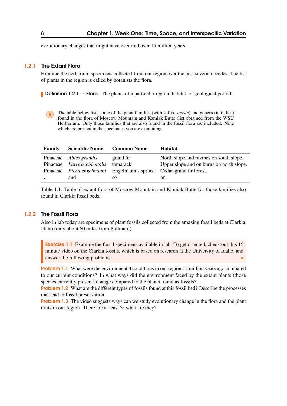evolutionary changes that might have occurred over 15 million years.

#### 1.2.1 The Extant Flora

<span id="page-7-0"></span>Examine the herbarium specimens collected from our region over the past several decades. The list of plants in the region is called by botanists the flora.

**Definition 1.2.1 — Flora.** The plants of a particular region, habitat, or geological period.

R The table below lists some of the plant families (with suffix *-aceae*) and genera (in italics) found in the flora of Moscow Mountain and Kamiak Butte (list obtained from [the WSU](http://public.wsu.edu/~wsherb/) [Herbarium.](http://public.wsu.edu/~wsherb/) Only those families that are also found in the fossil flora are included. Note which are present in the specimens you are examining.

| Family   | <b>Scientific Name</b>        | <b>Common Name</b> | <b>Habitat</b>                                                     |
|----------|-------------------------------|--------------------|--------------------------------------------------------------------|
|          | Pinaceae <i>Abies grandis</i> | grand fir          | North slope and ravines on south slope.                            |
|          | Pinaceae Larix occidentalis   | tamarack           | Upper slope and on burns on north slope.                           |
| Pinaceae |                               |                    | <i>Picea engelmanni</i> Engelmann's spruce Cedar-grand fir forest. |
| $\cdots$ | and                           | SO.                | on                                                                 |

Table 1.1: Table of extant flora of Moscow Mountain and Kamiak Butte for those families also found in Clarkia fossil beds.

#### 1.2.2 The Fossil Flora

<span id="page-7-1"></span>Also in lab today are specimens of plant fossils collected from the amazing fossil beds at Clarkia, Idaho (only about 60 miles from Pullman!).

Exercise 1.1 Examine the fossil specimens available in lab. To get oriented, [check out this 15](http://www.youtube.com/watch?v=YfRXDbtkEi0) [minute video on the Clarkia fossils,](http://www.youtube.com/watch?v=YfRXDbtkEi0) which is based on research at the University of Idaho, and answer the following problems:

**Problem 1.1** What were the environmental conditions in our region 15 million years ago compared to our current conditions? In what ways did the environment faced by the extant plants (those species currently present) change compared to the plants found as fossils?

Problem 1.2 What are the different types of fossils found at this fossil bed? Describe the processes that lead to fossil preservation.

**Problem 1.3** The video suggests ways can we study evolutionary change in the flora and the plant traits in our region. There are at least 3: what are they?

<span id="page-7-2"></span>